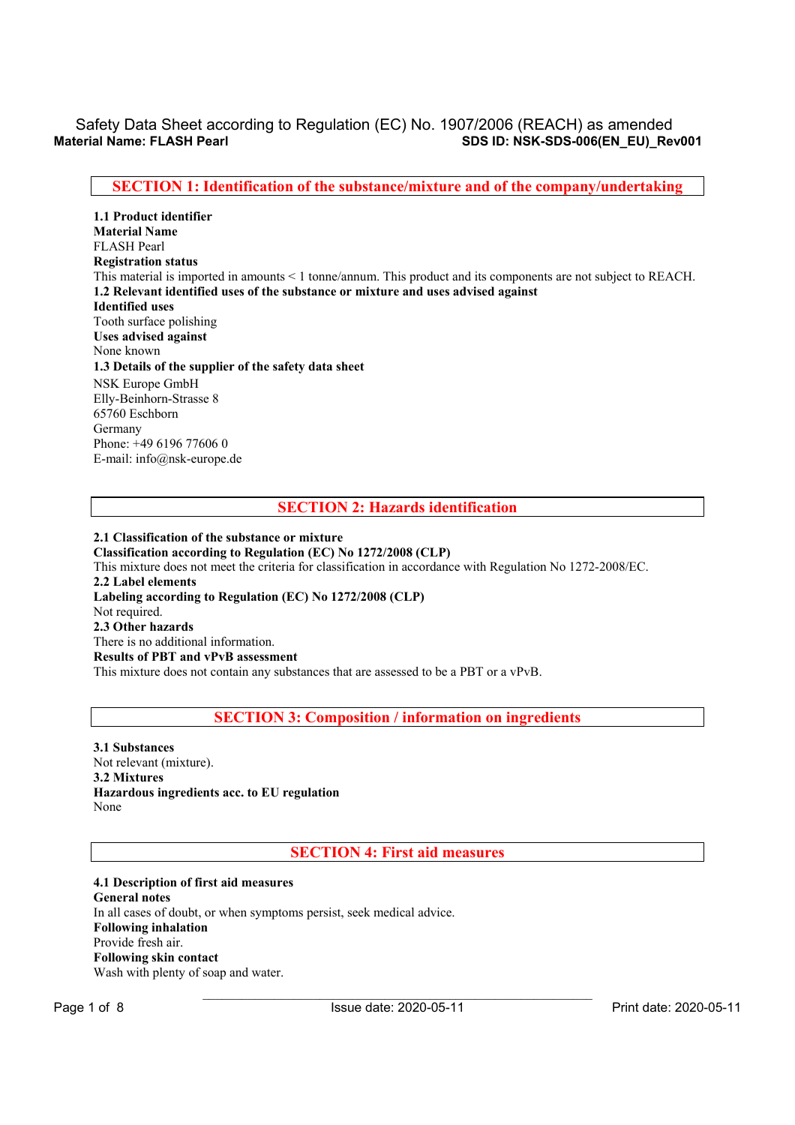## **SECTION 1: Identification of the substance/mixture and of the company/undertaking**

**1.1 Product identifier Material Name**  FLASH Pearl **Registration status**  This material is imported in amounts < 1 tonne/annum. This product and its components are not subject to REACH. **1.2 Relevant identified uses of the substance or mixture and uses advised against Identified uses**  Tooth surface polishing **Uses advised against**  None known **1.3 Details of the supplier of the safety data sheet**  NSK Europe GmbH Elly-Beinhorn-Strasse 8 65760 Eschborn Germany Phone: +49 6196 77606 0 E-mail: info@nsk-europe.de

## **SECTION 2: Hazards identification**

**2.1 Classification of the substance or mixture Classification according to Regulation (EC) No 1272/2008 (CLP)**  This mixture does not meet the criteria for classification in accordance with Regulation No 1272-2008/EC. **2.2 Label elements Labeling according to Regulation (EC) No 1272/2008 (CLP)**  Not required. **2.3 Other hazards**  There is no additional information. **Results of PBT and vPvB assessment**  This mixture does not contain any substances that are assessed to be a PBT or a vPvB.

## **SECTION 3: Composition / information on ingredients**

**3.1 Substances**  Not relevant (mixture). **3.2 Mixtures Hazardous ingredients acc. to EU regulation**  None

**SECTION 4: First aid measures** 

**4.1 Description of first aid measures General notes**  In all cases of doubt, or when symptoms persist, seek medical advice. **Following inhalation**  Provide fresh air. **Following skin contact**  Wash with plenty of soap and water.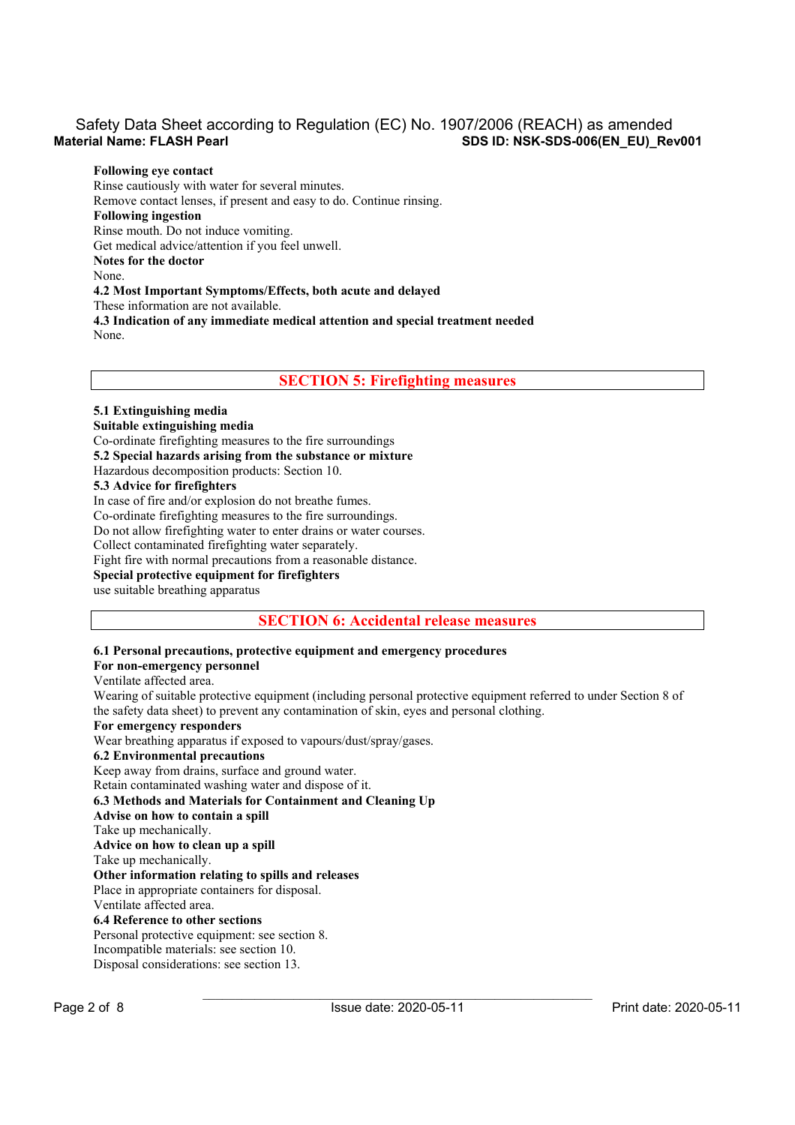#### **Following eye contact**

Rinse cautiously with water for several minutes. Remove contact lenses, if present and easy to do. Continue rinsing. **Following ingestion**  Rinse mouth. Do not induce vomiting. Get medical advice/attention if you feel unwell. **Notes for the doctor**  None. **4.2 Most Important Symptoms/Effects, both acute and delayed**  These information are not available. **4.3 Indication of any immediate medical attention and special treatment needed**  None.

**SECTION 5: Firefighting measures** 

#### **5.1 Extinguishing media**

#### **Suitable extinguishing media**

Co-ordinate firefighting measures to the fire surroundings

**5.2 Special hazards arising from the substance or mixture** 

Hazardous decomposition products: Section 10.

#### **5.3 Advice for firefighters**

In case of fire and/or explosion do not breathe fumes.

Co-ordinate firefighting measures to the fire surroundings.

Do not allow firefighting water to enter drains or water courses.

Collect contaminated firefighting water separately.

Fight fire with normal precautions from a reasonable distance.

## **Special protective equipment for firefighters**

use suitable breathing apparatus

## **SECTION 6: Accidental release measures**

#### **6.1 Personal precautions, protective equipment and emergency procedures**

## **For non-emergency personnel**

Ventilate affected area.

Wearing of suitable protective equipment (including personal protective equipment referred to under Section 8 of the safety data sheet) to prevent any contamination of skin, eyes and personal clothing.

#### **For emergency responders**

Wear breathing apparatus if exposed to vapours/dust/spray/gases.

#### **6.2 Environmental precautions**

Keep away from drains, surface and ground water.

Retain contaminated washing water and dispose of it.

#### **6.3 Methods and Materials for Containment and Cleaning Up**

**Advise on how to contain a spill** 

Take up mechanically.

# **Advice on how to clean up a spill**

Take up mechanically. **Other information relating to spills and releases** 

Place in appropriate containers for disposal.

Ventilate affected area.

#### **6.4 Reference to other sections**

Personal protective equipment: see section 8. Incompatible materials: see section 10.

## Disposal considerations: see section 13.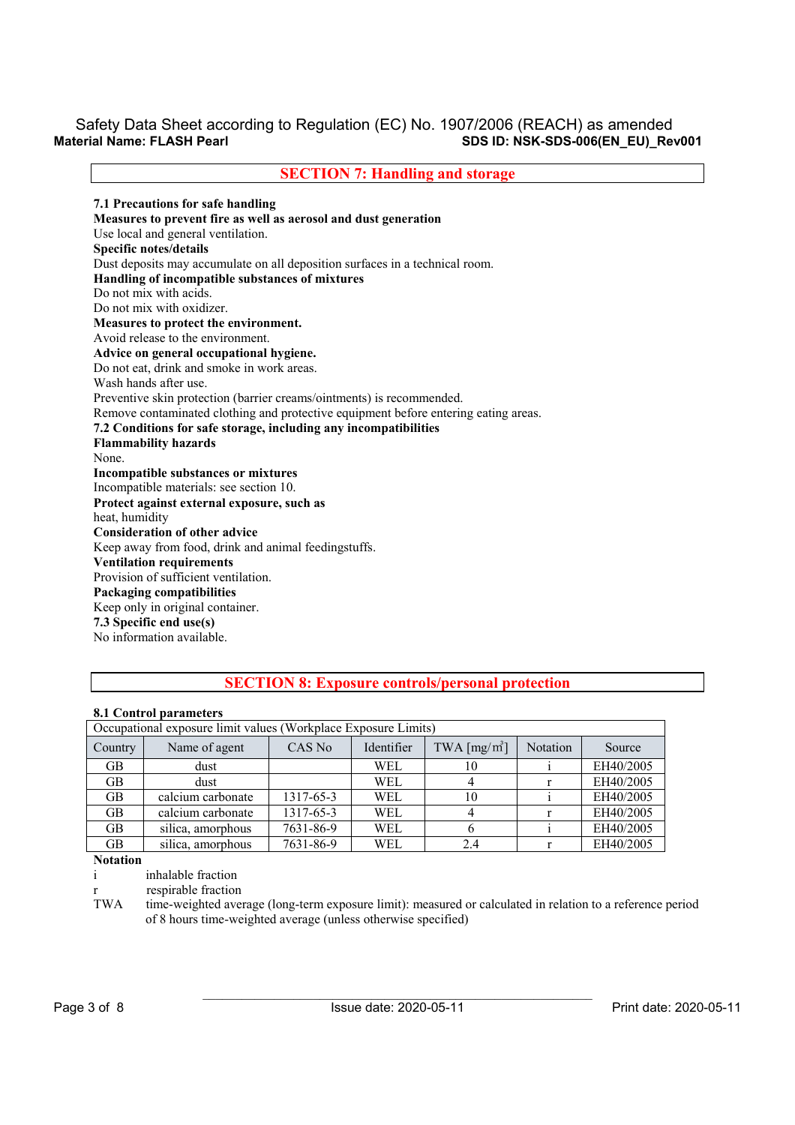**SECTION 7: Handling and storage 7.1 Precautions for safe handling Measures to prevent fire as well as aerosol and dust generation** Use local and general ventilation. **Specific notes/details**  Dust deposits may accumulate on all deposition surfaces in a technical room. **Handling of incompatible substances of mixtures**  Do not mix with acids. Do not mix with oxidizer. **Measures to protect the environment.**  Avoid release to the environment. **Advice on general occupational hygiene.**  Do not eat, drink and smoke in work areas. Wash hands after use. Preventive skin protection (barrier creams/ointments) is recommended. Remove contaminated clothing and protective equipment before entering eating areas. **7.2 Conditions for safe storage, including any incompatibilities Flammability hazards**  None. **Incompatible substances or mixtures**  Incompatible materials: see section 10. **Protect against external exposure, such as**  heat, humidity **Consideration of other advice**  Keep away from food, drink and animal feedingstuffs. **Ventilation requirements**  Provision of sufficient ventilation. **Packaging compatibilities**  Keep only in original container. **7.3 Specific end use(s)**  No information available.

# **SECTION 8: Exposure controls/personal protection**

## **8.1 Control parameters**

| Occupational exposure limit values (Workplace Exposure Limits) |                   |           |            |                                   |                 |           |
|----------------------------------------------------------------|-------------------|-----------|------------|-----------------------------------|-----------------|-----------|
| Country                                                        | Name of agent     | CAS No    | Identifier | TWA $\lceil \text{mg/m}^3 \rceil$ | <b>Notation</b> | Source    |
| <b>GB</b>                                                      | dust              |           | WEL        | 10                                |                 | EH40/2005 |
| <b>GB</b>                                                      | dust              |           | <b>WEL</b> |                                   |                 | EH40/2005 |
| GB.                                                            | calcium carbonate | 1317-65-3 | <b>WEL</b> | 10                                |                 | EH40/2005 |
| <b>GB</b>                                                      | calcium carbonate | 1317-65-3 | <b>WEL</b> |                                   |                 | EH40/2005 |
| GB.                                                            | silica, amorphous | 7631-86-9 | <b>WEL</b> |                                   |                 | EH40/2005 |
| <b>GB</b>                                                      | silica, amorphous | 7631-86-9 | <b>WEL</b> | 2.4                               |                 | EH40/2005 |

#### **Notation**

i inhalable fraction

r respirable fraction

TWA time-weighted average (long-term exposure limit): measured or calculated in relation to a reference period of 8 hours time-weighted average (unless otherwise specified)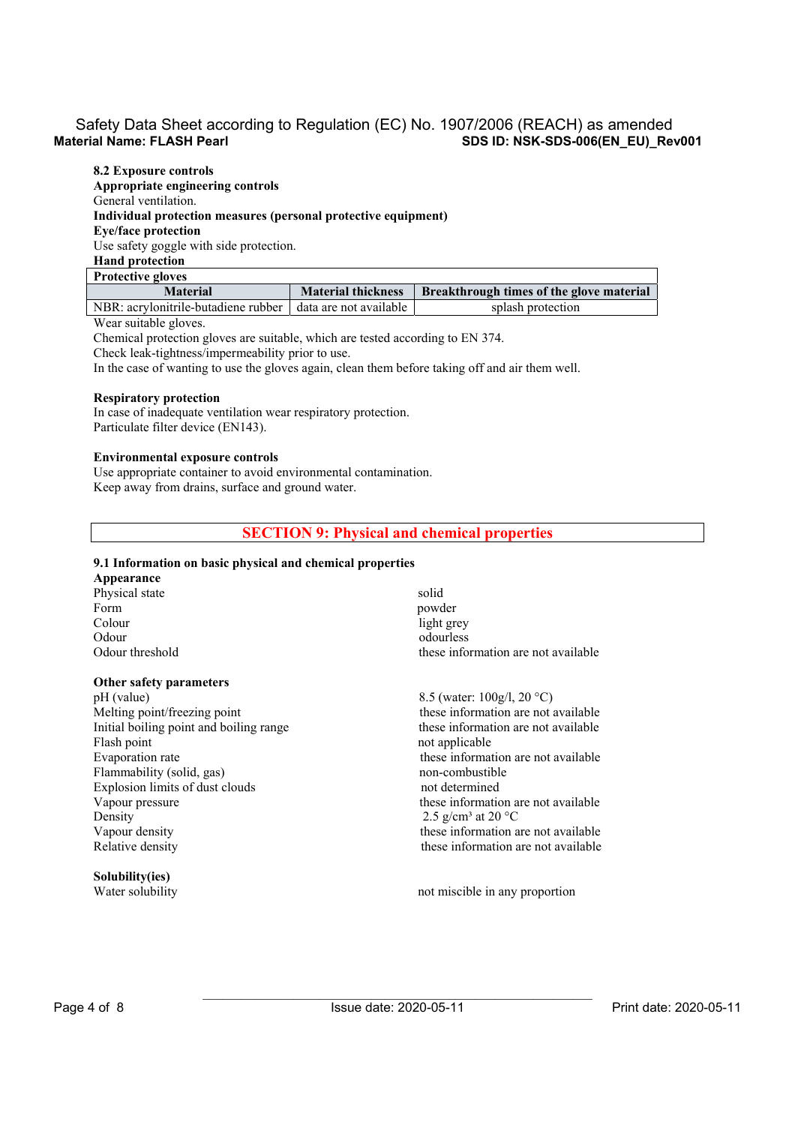**8.2 Exposure controls Appropriate engineering controls**  General ventilation. **Individual protection measures (personal protective equipment) Eye/face protection**  Use safety goggle with side protection. **Hand protection Protective gloves** 

| <b>Material</b>                                              | <b>Material thickness</b> | <b>Breakthrough times of the glove material</b> |
|--------------------------------------------------------------|---------------------------|-------------------------------------------------|
| NBR: acrylonitrile-butadiene rubber   data are not available |                           | splash protection                               |

#### Wear suitable gloves.

Chemical protection gloves are suitable, which are tested according to EN 374.

Check leak-tightness/impermeability prior to use.

In the case of wanting to use the gloves again, clean them before taking off and air them well.

#### **Respiratory protection**

In case of inadequate ventilation wear respiratory protection. Particulate filter device (EN143).

#### **Environmental exposure controls**

Use appropriate container to avoid environmental contamination. Keep away from drains, surface and ground water.

## **SECTION 9: Physical and chemical properties**

## **9.1 Information on basic physical and chemical properties**

**Appearance**  Physical state solid Form powder Colour light grey Odour odourless odourless

# **Other safety parameters**

Melting point/freezing point these information are not available Initial boiling point and boiling range these information are not available Flash point not applicable Evaporation rate these information are not available these information are not available Flammability (solid, gas) non-combustible Explosion limits of dust clouds not determined Vapour pressure these information are not available Density 2.5 g/cm<sup>3</sup> at 20 °C Vapour density these information are not available values of these information are not available Relative density these information are not available these information are not available

**Solubility(ies)** 

Odour threshold these information are not available these information are not available

8.5 (water:  $100g/1, 20^{\circ}$ C)

not miscible in any proportion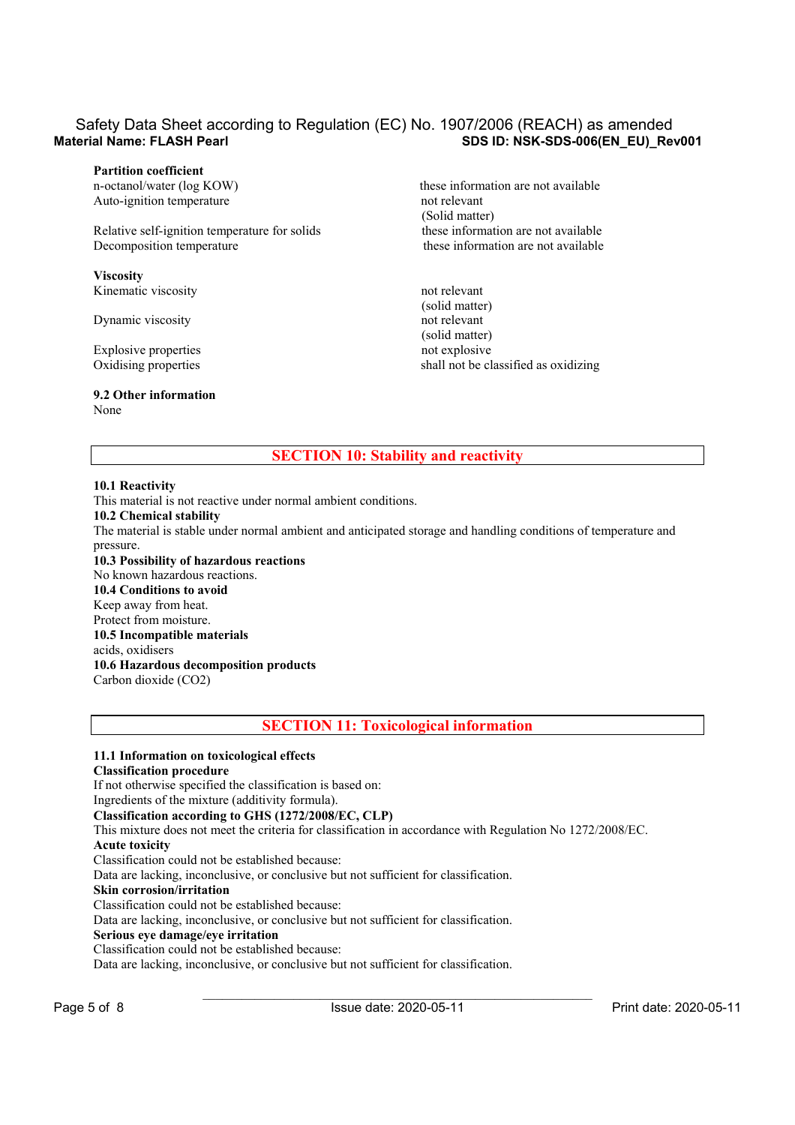## **Partition coefficient**

Auto-ignition temperature not relevant

Relative self-ignition temperature for solids these information are not available Decomposition temperature these information are not available

**Viscosity**  Kinematic viscosity not relevant

Dynamic viscosity not relevant

Explosive properties not explosive not explosive

#### **9.2 Other information**

None

n-octanol/water (log KOW) these information are not available (Solid matter)

 (solid matter) (solid matter) Oxidising properties shall not be classified as oxidizing

# **SECTION 10: Stability and reactivity**

#### **10.1 Reactivity**

This material is not reactive under normal ambient conditions.

#### **10.2 Chemical stability**

The material is stable under normal ambient and anticipated storage and handling conditions of temperature and pressure.

**10.3 Possibility of hazardous reactions**  No known hazardous reactions. **10.4 Conditions to avoid**  Keep away from heat. Protect from moisture. **10.5 Incompatible materials**  acids, oxidisers **10.6 Hazardous decomposition products**  Carbon dioxide (CO2)

**SECTION 11: Toxicological information** 

#### **11.1 Information on toxicological effects Classification procedure**  If not otherwise specified the classification is based on: Ingredients of the mixture (additivity formula). **Classification according to GHS (1272/2008/EC, CLP)**  This mixture does not meet the criteria for classification in accordance with Regulation No 1272/2008/EC. **Acute toxicity**  Classification could not be established because: Data are lacking, inconclusive, or conclusive but not sufficient for classification. **Skin corrosion/irritation**  Classification could not be established because: Data are lacking, inconclusive, or conclusive but not sufficient for classification. **Serious eye damage/eye irritation**

Classification could not be established because:

Data are lacking, inconclusive, or conclusive but not sufficient for classification.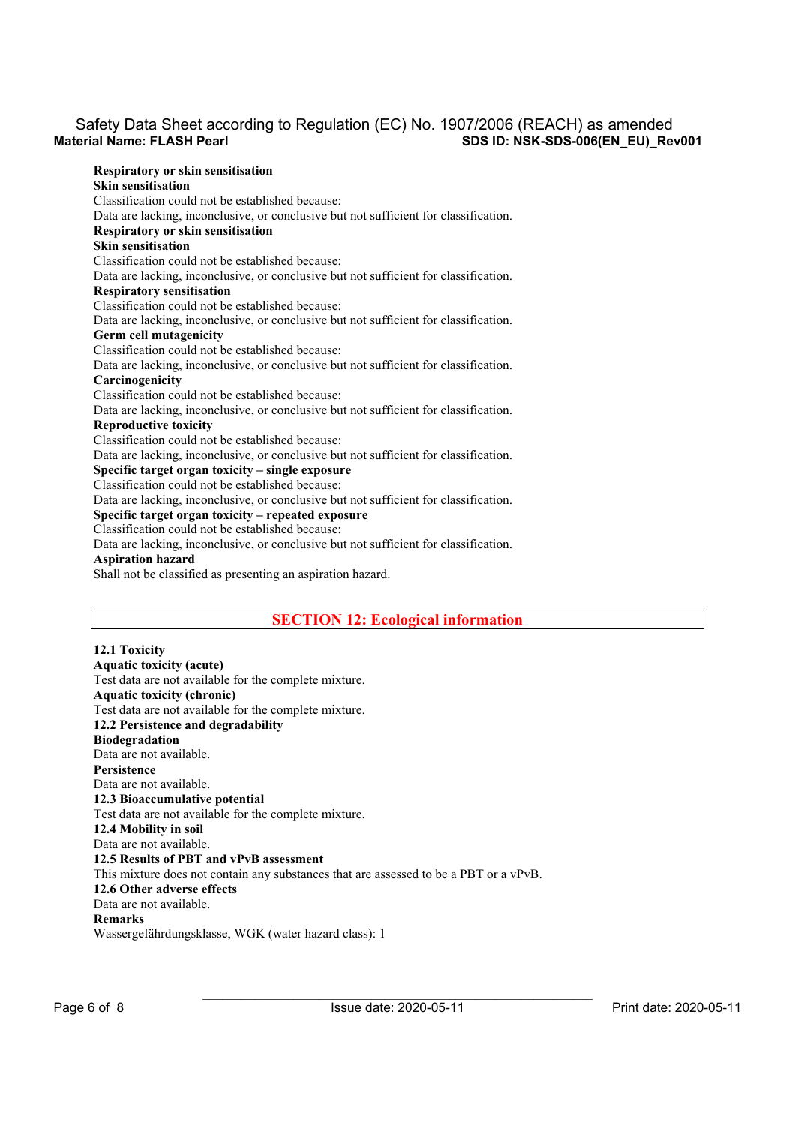**Respiratory or skin sensitisation Skin sensitisation**  Classification could not be established because: Data are lacking, inconclusive, or conclusive but not sufficient for classification. **Respiratory or skin sensitisation Skin sensitisation**  Classification could not be established because: Data are lacking, inconclusive, or conclusive but not sufficient for classification. **Respiratory sensitisation**  Classification could not be established because: Data are lacking, inconclusive, or conclusive but not sufficient for classification. **Germ cell mutagenicity**  Classification could not be established because: Data are lacking, inconclusive, or conclusive but not sufficient for classification. **Carcinogenicity**  Classification could not be established because: Data are lacking, inconclusive, or conclusive but not sufficient for classification. **Reproductive toxicity**  Classification could not be established because: Data are lacking, inconclusive, or conclusive but not sufficient for classification. **Specific target organ toxicity – single exposure**  Classification could not be established because: Data are lacking, inconclusive, or conclusive but not sufficient for classification. **Specific target organ toxicity – repeated exposure**  Classification could not be established because: Data are lacking, inconclusive, or conclusive but not sufficient for classification. **Aspiration hazard**  Shall not be classified as presenting an aspiration hazard.

# **SECTION 12: Ecological information**

**12.1 Toxicity Aquatic toxicity (acute)**  Test data are not available for the complete mixture. **Aquatic toxicity (chronic)**  Test data are not available for the complete mixture. **12.2 Persistence and degradability Biodegradation**  Data are not available. **Persistence**  Data are not available. **12.3 Bioaccumulative potential**  Test data are not available for the complete mixture. **12.4 Mobility in soil**  Data are not available. **12.5 Results of PBT and vPvB assessment**  This mixture does not contain any substances that are assessed to be a PBT or a vPvB. **12.6 Other adverse effects**  Data are not available. **Remarks**  Wassergefährdungsklasse, WGK (water hazard class): 1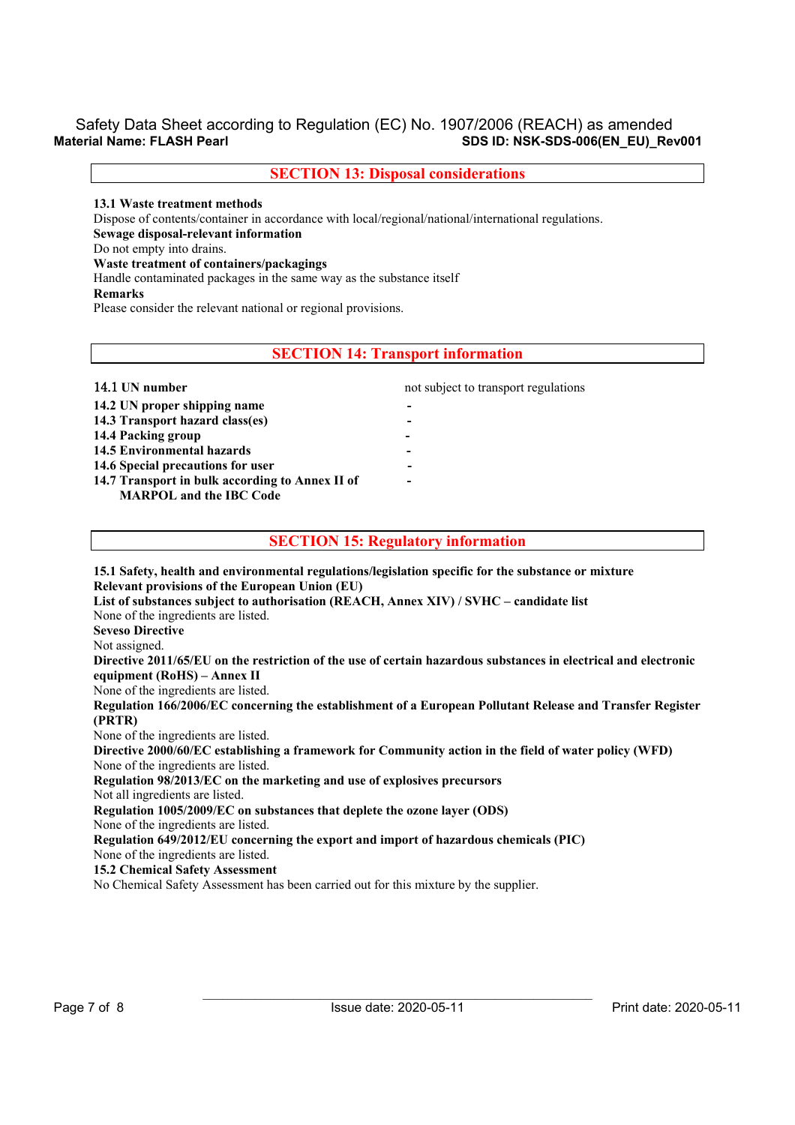**SECTION 13: Disposal considerations** 

#### **13.1 Waste treatment methods**

Dispose of contents/container in accordance with local/regional/national/international regulations. **Sewage disposal-relevant information**  Do not empty into drains. **Waste treatment of containers/packagings** 

Handle contaminated packages in the same way as the substance itself

**Remarks** 

Please consider the relevant national or regional provisions.

## **SECTION 14: Transport information**

| 14.1 UN number                                  | not subject to transport regulations |
|-------------------------------------------------|--------------------------------------|
| 14.2 UN proper shipping name                    | -                                    |
| 14.3 Transport hazard class(es)                 |                                      |
| 14.4 Packing group                              | -                                    |
| <b>14.5 Environmental hazards</b>               | -                                    |
| 14.6 Special precautions for user               |                                      |
| 14.7 Transport in bulk according to Annex II of | -                                    |
| <b>MARPOL and the IBC Code</b>                  |                                      |

# **SECTION 15: Regulatory information**

**15.1 Safety, health and environmental regulations/legislation specific for the substance or mixture Relevant provisions of the European Union (EU) List of substances subject to authorisation (REACH, Annex XIV) / SVHC – candidate list**  None of the ingredients are listed. **Seveso Directive**  Not assigned. **Directive 2011/65/EU on the restriction of the use of certain hazardous substances in electrical and electronic equipment (RoHS) – Annex II**  None of the ingredients are listed. **Regulation 166/2006/EC concerning the establishment of a European Pollutant Release and Transfer Register (PRTR)**  None of the ingredients are listed. **Directive 2000/60/EC establishing a framework for Community action in the field of water policy (WFD)**  None of the ingredients are listed. **Regulation 98/2013/EC on the marketing and use of explosives precursors**  Not all ingredients are listed. **Regulation 1005/2009/EC on substances that deplete the ozone layer (ODS)**  None of the ingredients are listed. **Regulation 649/2012/EU concerning the export and import of hazardous chemicals (PIC)**  None of the ingredients are listed. **15.2 Chemical Safety Assessment**  No Chemical Safety Assessment has been carried out for this mixture by the supplier.